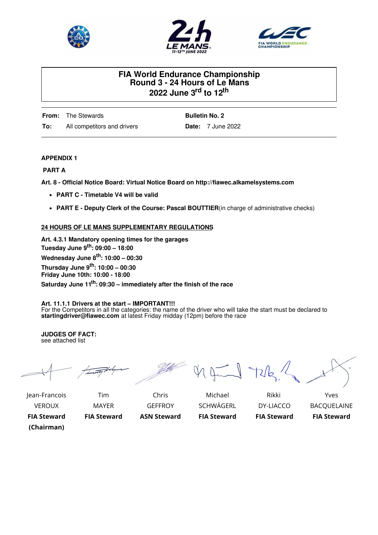





# **FIA World Endurance Championship Round 3 - 24 Hours of Le Mans 2022 June 3 rd to 12 th**

**From:** The Stewards **To:** All competitors and drivers **Bulletin No. 2 Date:** 7 June 2022

## **APPENDIX 1**

### **PART A**

**Art. 8 - Official Notice Board: Virtual Notice Board on http://fiawec.alkamelsystems.com**

- **PART C - Timetable V4 will be valid**
- **PART E - Deputy Clerk of the Course: Pascal BOUTTIER**(in charge of administrative checks)

## **24 HOURS OF LE MANS SUPPLEMENTARY REGULATIONS**

**Art. 4.3.1 Mandatory opening times for the garages Tuesday June 9 th : 09:00 – 18:00 Wednesday June 8 th : 10:00 – 00:30 Thursday June 9 th : 10:00 – 00:30 Friday June 10th: 10:00 - 18:00 Saturday June 11 th : 09:30 – immediately after the finish of the race**

#### **Art. 11.1.1 Drivers at the start – IMPORTANT!!!**

For the Competitors in all the categories: the name of the driver who will take the start must be declared to **startingdriver@fiawec.com** at latest Friday midday (12pm) before the race

**JUDGES OF FACT:** see attached list

Jean-Francois Tim Chris Michael Rikki Yves

1. June 72/2 /

VEROUX MAYER GEFFROY SCHWÄGERL DY-LIACCO BACQUELAINE

**FIA Steward FIA Steward ASN Steward FIA Steward FIA Steward FIA Steward (Chairman)**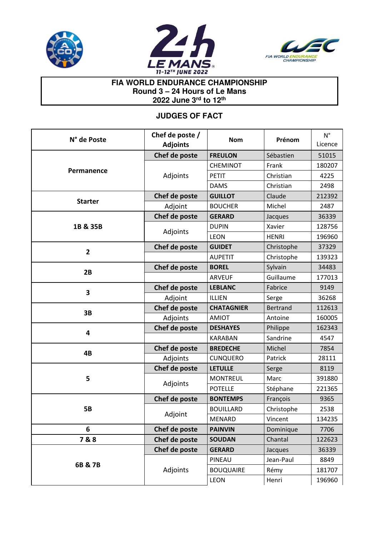





# **FIA WORLD ENDURANCE CHAMPIONSHIP Round 3 – 24 Hours of Le Mans 2022 June 3rd to 12th**

# **JUDGES OF FACT**

| N° de Poste    | Chef de poste /<br><b>Adjoints</b> | <b>Nom</b>        | Prénom          | $N^{\circ}$<br>Licence |
|----------------|------------------------------------|-------------------|-----------------|------------------------|
|                | Chef de poste                      | <b>FREULON</b>    | Sébastien       | 51015                  |
| Permanence     | Adjoints                           | <b>CHEMINOT</b>   | Frank           | 180207                 |
|                |                                    | <b>PETIT</b>      | Christian       | 4225                   |
|                |                                    | <b>DAMS</b>       | Christian       | 2498                   |
| <b>Starter</b> | Chef de poste                      | <b>GUILLOT</b>    | Claude          | 212392                 |
|                | Adjoint                            | <b>BOUCHER</b>    | Michel          | 2487                   |
|                | Chef de poste                      | <b>GERARD</b>     | Jacques         | 36339                  |
| 1B & 35B       | Adjoints                           | <b>DUPIN</b>      | Xavier          | 128756                 |
|                |                                    | <b>LEON</b>       | <b>HENRI</b>    | 196960                 |
| $\overline{2}$ | Chef de poste                      | <b>GUIDET</b>     | Christophe      | 37329                  |
|                |                                    | <b>AUPETIT</b>    | Christophe      | 139323                 |
| 2B             | Chef de poste                      | <b>BOREL</b>      | Sylvain         | 34483                  |
|                |                                    | <b>ARVEUF</b>     | Guillaume       | 177013                 |
| 3              | Chef de poste                      | <b>LEBLANC</b>    | Fabrice         | 9149                   |
|                | Adjoint                            | ILLIEN            | Serge           | 36268                  |
| 3B             | Chef de poste                      | <b>CHATAGNIER</b> | <b>Bertrand</b> | 112613                 |
|                | Adjoints                           | <b>AMIOT</b>      | Antoine         | 160005                 |
| 4              | Chef de poste                      | <b>DESHAYES</b>   | Philippe        | 162343                 |
|                |                                    | <b>KARABAN</b>    | Sandrine        | 4547                   |
| 4B             | Chef de poste                      | <b>BREDECHE</b>   | Michel          | 7854                   |
|                | Adjoints                           | <b>CUNQUERO</b>   | Patrick         | 28111                  |
|                | Chef de poste                      | <b>LETULLE</b>    | Serge           | 8119                   |
| 5              | Adjoints                           | <b>MONTREUL</b>   | Marc            | 391880                 |
|                |                                    | <b>POTELLE</b>    | Stéphane        | 221365                 |
|                | Chef de poste                      | <b>BONTEMPS</b>   | François        | 9365                   |
| <b>5B</b>      | Adjoint                            | <b>BOUILLARD</b>  | Christophe      | 2538                   |
|                |                                    | MENARD            | Vincent         | 134235                 |
| 6              | Chef de poste                      | <b>PAINVIN</b>    | Dominique       | 7706                   |
| 7&8            | Chef de poste                      | <b>SOUDAN</b>     | Chantal         | 122623                 |
|                | Chef de poste                      | <b>GERARD</b>     | Jacques         | 36339                  |
| 6B & 7B        |                                    | PINEAU            | Jean-Paul       | 8849                   |
|                | Adjoints                           | <b>BOUQUAIRE</b>  | Rémy            | 181707                 |
|                |                                    | LEON              | Henri           | 196960                 |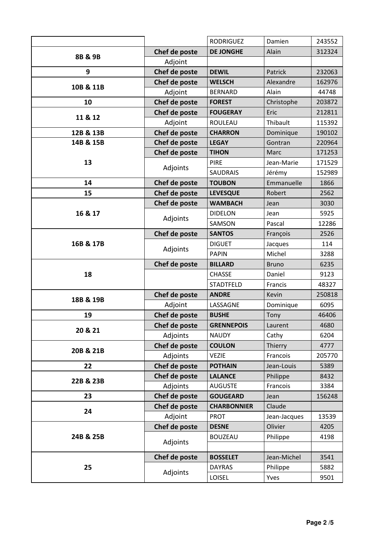|           |               | <b>RODRIGUEZ</b>   | Damien       | 243552 |
|-----------|---------------|--------------------|--------------|--------|
| 8B & 9B   | Chef de poste | <b>DE JONGHE</b>   | Alain        | 312324 |
|           | Adjoint       |                    |              |        |
| 9         | Chef de poste | <b>DEWIL</b>       | Patrick      | 232063 |
| 10B & 11B | Chef de poste | <b>WELSCH</b>      | Alexandre    | 162976 |
|           | Adjoint       | <b>BERNARD</b>     | Alain        | 44748  |
| 10        | Chef de poste | <b>FOREST</b>      | Christophe   | 203872 |
| 11 & 12   | Chef de poste | <b>FOUGERAY</b>    | Eric         | 212811 |
|           | Adjoint       | ROULEAU            | Thibault     | 115392 |
| 12B & 13B | Chef de poste | <b>CHARRON</b>     | Dominique    | 190102 |
| 14B & 15B | Chef de poste | <b>LEGAY</b>       | Gontran      | 220964 |
|           | Chef de poste | <b>TIHON</b>       | Marc         | 171253 |
| 13        | Adjoints      | <b>PIRE</b>        | Jean-Marie   | 171529 |
|           |               | <b>SAUDRAIS</b>    | Jérémy       | 152989 |
| 14        | Chef de poste | <b>TOUBON</b>      | Emmanuelle   | 1866   |
| 15        | Chef de poste | <b>LEVESQUE</b>    | Robert       | 2562   |
|           | Chef de poste | <b>WAMBACH</b>     | Jean         | 3030   |
| 16 & 17   | Adjoints      | <b>DIDELON</b>     | Jean         | 5925   |
|           |               | SAMSON             | Pascal       | 12286  |
|           | Chef de poste | <b>SANTOS</b>      | François     | 2526   |
| 16B & 17B | Adjoints      | <b>DIGUET</b>      | Jacques      | 114    |
|           |               | <b>PAPIN</b>       | Michel       | 3288   |
|           |               |                    |              |        |
|           | Chef de poste | <b>BILLARD</b>     | <b>Bruno</b> | 6235   |
| 18        |               | <b>CHASSE</b>      | Daniel       | 9123   |
|           |               | <b>STADTFELD</b>   | Francis      | 48327  |
|           | Chef de poste | <b>ANDRE</b>       | Kevin        | 250818 |
| 18B & 19B | Adjoint       | LASSAGNE           | Dominique    | 6095   |
| 19        | Chef de poste | <b>BUSHE</b>       | Tony         | 46406  |
|           | Chef de poste | <b>GRENNEPOIS</b>  | Laurent      | 4680   |
| 20 & 21   | Adjoints      | <b>NAUDY</b>       | Cathy        | 6204   |
|           | Chef de poste | <b>COULON</b>      | Thierry      | 4777   |
| 20B & 21B | Adjoints      | <b>VEZIE</b>       | Francois     | 205770 |
| 22        | Chef de poste | <b>POTHAIN</b>     | Jean-Louis   | 5389   |
|           | Chef de poste | <b>LALANCE</b>     | Philippe     | 8432   |
| 22B & 23B | Adjoints      | <b>AUGUSTE</b>     | Francois     | 3384   |
| 23        | Chef de poste | <b>GOUGEARD</b>    | Jean         | 156248 |
|           | Chef de poste | <b>CHARBONNIER</b> | Claude       |        |
| 24        | Adjoint       | <b>PROT</b>        | Jean-Jacques | 13539  |
|           | Chef de poste | <b>DESNE</b>       | Olivier      | 4205   |
| 24B & 25B |               | <b>BOUZEAU</b>     | Philippe     | 4198   |
|           | Adjoints      |                    |              |        |
|           | Chef de poste | <b>BOSSELET</b>    | Jean-Michel  | 3541   |
| 25        | Adjoints      | <b>DAYRAS</b>      | Philippe     | 5882   |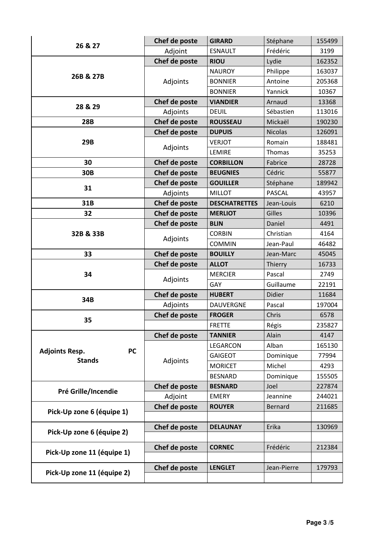|                                    | Chef de poste | <b>GIRARD</b>        | Stéphane       | 155499 |
|------------------------------------|---------------|----------------------|----------------|--------|
| 26 & 27                            | Adjoint       | <b>ESNAULT</b>       | Frédéric       | 3199   |
|                                    | Chef de poste | <b>RIOU</b>          | Lydie          | 162352 |
| 26B & 27B                          | Adjoints      | <b>NAUROY</b>        | Philippe       | 163037 |
|                                    |               | <b>BONNIER</b>       | Antoine        | 205368 |
|                                    |               | <b>BONNIER</b>       | Yannick        | 10367  |
| 28 & 29                            | Chef de poste | <b>VIANDIER</b>      | Arnaud         | 13368  |
|                                    | Adjoints      | <b>DEUIL</b>         | Sébastien      | 113016 |
| <b>28B</b>                         | Chef de poste | <b>ROUSSEAU</b>      | Mickaël        | 190230 |
|                                    | Chef de poste | <b>DUPUIS</b>        | <b>Nicolas</b> | 126091 |
| 29B                                |               | <b>VERJOT</b>        | Romain         | 188481 |
|                                    | Adjoints      | LEMIRE               | Thomas         | 35253  |
| 30                                 | Chef de poste | <b>CORBILLON</b>     | Fabrice        | 28728  |
| 30B                                | Chef de poste | <b>BEUGNIES</b>      | Cédric         | 55877  |
| 31                                 | Chef de poste | <b>GOUILLER</b>      | Stéphane       | 189942 |
|                                    | Adjoints      | <b>MILLOT</b>        | <b>PASCAL</b>  | 43957  |
| 31B                                | Chef de poste | <b>DESCHATRETTES</b> | Jean-Louis     | 6210   |
| 32                                 | Chef de poste | <b>MERLIOT</b>       | Gilles         | 10396  |
|                                    | Chef de poste | <b>BLIN</b>          | Daniel         | 4491   |
| 32B & 33B                          | Adjoints      | <b>CORBIN</b>        | Christian      | 4164   |
|                                    |               | <b>COMMIN</b>        | Jean-Paul      | 46482  |
| 33                                 | Chef de poste | <b>BOUILLY</b>       | Jean-Marc      | 45045  |
| 34                                 | Chef de poste | <b>ALLOT</b>         | Thierry        | 16733  |
|                                    | Adjoints      | <b>MERCIER</b>       | Pascal         | 2749   |
|                                    |               | GAY                  | Guillaume      | 22191  |
| 34B                                | Chef de poste | <b>HUBERT</b>        | Didier         | 11684  |
|                                    | Adjoints      | <b>DAUVERGNE</b>     | Pascal         | 197004 |
| 35                                 | Chef de poste | <b>FROGER</b>        | Chris          | 6578   |
|                                    |               |                      |                |        |
|                                    |               | <b>FRETTE</b>        | Régis          | 235827 |
|                                    | Chef de poste | <b>TANNIER</b>       | Alain          | 4147   |
|                                    |               | LEGARCON             | Alban          | 165130 |
| <b>PC</b><br><b>Adjoints Resp.</b> |               | <b>GAIGEOT</b>       | Dominique      | 77994  |
| <b>Stands</b>                      | Adjoints      | <b>MORICET</b>       | Michel         | 4293   |
|                                    |               | <b>BESNARD</b>       | Dominique      | 155505 |
|                                    | Chef de poste | <b>BESNARD</b>       | Joel           | 227874 |
| Pré Grille/Incendie                | Adjoint       | <b>EMERY</b>         | Jeannine       | 244021 |
|                                    | Chef de poste | <b>ROUYER</b>        | <b>Bernard</b> | 211685 |
| Pick-Up zone 6 (équipe 1)          |               |                      |                |        |
|                                    | Chef de poste | <b>DELAUNAY</b>      | Erika          | 130969 |
| Pick-Up zone 6 (équipe 2)          |               |                      |                |        |
|                                    | Chef de poste | <b>CORNEC</b>        | Frédéric       | 212384 |
| Pick-Up zone 11 (équipe 1)         |               |                      |                |        |
| Pick-Up zone 11 (équipe 2)         | Chef de poste | <b>LENGLET</b>       | Jean-Pierre    | 179793 |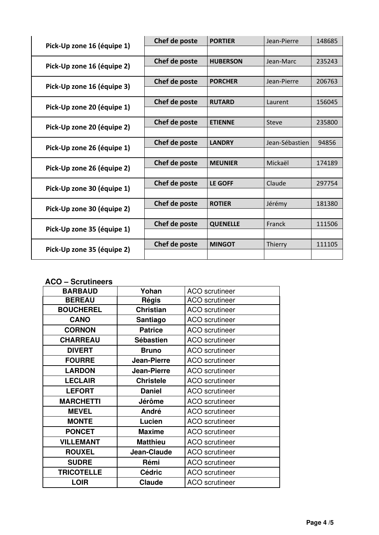| Pick-Up zone 16 (équipe 1) | Chef de poste | <b>PORTIER</b>  | Jean-Pierre    | 148685 |
|----------------------------|---------------|-----------------|----------------|--------|
|                            |               |                 |                |        |
| Pick-Up zone 16 (équipe 2) | Chef de poste | <b>HUBERSON</b> | Jean-Marc      | 235243 |
|                            |               |                 |                |        |
| Pick-Up zone 16 (équipe 3) | Chef de poste | <b>PORCHER</b>  | Jean-Pierre    | 206763 |
|                            |               |                 |                |        |
|                            | Chef de poste | <b>RUTARD</b>   | Laurent        | 156045 |
| Pick-Up zone 20 (équipe 1) |               |                 |                |        |
| Pick-Up zone 20 (équipe 2) | Chef de poste | <b>ETIENNE</b>  | Steve          | 235800 |
|                            |               |                 |                |        |
| Pick-Up zone 26 (équipe 1) | Chef de poste | <b>LANDRY</b>   | Jean-Sébastien | 94856  |
|                            |               |                 |                |        |
| Pick-Up zone 26 (équipe 2) | Chef de poste | <b>MEUNIER</b>  | Mickaël        | 174189 |
|                            |               |                 |                |        |
| Pick-Up zone 30 (équipe 1) | Chef de poste | <b>LE GOFF</b>  | Claude         | 297754 |
|                            |               |                 |                |        |
| Pick-Up zone 30 (équipe 2) | Chef de poste | <b>ROTIER</b>   | Jérémy         | 181380 |
|                            |               |                 |                |        |
| Pick-Up zone 35 (équipe 1) | Chef de poste | <b>QUENELLE</b> | Franck         | 111506 |
|                            |               |                 |                |        |
| Pick-Up zone 35 (équipe 2) | Chef de poste | <b>MINGOT</b>   | Thierry        | 111105 |
|                            |               |                 |                |        |

## **ACO – Scrutineers**

| <b>BARBAUD</b>    | Yohan              | <b>ACO</b> scrutineer |
|-------------------|--------------------|-----------------------|
| <b>BEREAU</b>     | Régis              | <b>ACO</b> scrutineer |
| <b>BOUCHEREL</b>  | <b>Christian</b>   | <b>ACO</b> scrutineer |
| <b>CANO</b>       | Santiago           | <b>ACO</b> scrutineer |
| <b>CORNON</b>     | <b>Patrice</b>     | <b>ACO</b> scrutineer |
| <b>CHARREAU</b>   | <b>Sébastien</b>   | <b>ACO</b> scrutineer |
| <b>DIVERT</b>     | <b>Bruno</b>       | <b>ACO</b> scrutineer |
| <b>FOURRE</b>     | <b>Jean-Pierre</b> | <b>ACO</b> scrutineer |
| <b>LARDON</b>     | Jean-Pierre        | <b>ACO</b> scrutineer |
| <b>LECLAIR</b>    | <b>Christele</b>   | <b>ACO</b> scrutineer |
| <b>LEFORT</b>     | <b>Daniel</b>      | <b>ACO</b> scrutineer |
| <b>MARCHETTI</b>  | Jérôme             | <b>ACO</b> scrutineer |
| <b>MEVEL</b>      | André              | <b>ACO</b> scrutineer |
| <b>MONTE</b>      | Lucien             | <b>ACO</b> scrutineer |
| <b>PONCET</b>     | <b>Maxime</b>      | <b>ACO</b> scrutineer |
| <b>VILLEMANT</b>  | <b>Matthieu</b>    | <b>ACO</b> scrutineer |
| <b>ROUXEL</b>     | Jean-Claude        | <b>ACO</b> scrutineer |
| <b>SUDRE</b>      | Rémi               | <b>ACO</b> scrutineer |
| <b>TRICOTELLE</b> | <b>Cédric</b>      | <b>ACO</b> scrutineer |
| <b>LOIR</b>       | Claude             | <b>ACO</b> scrutineer |